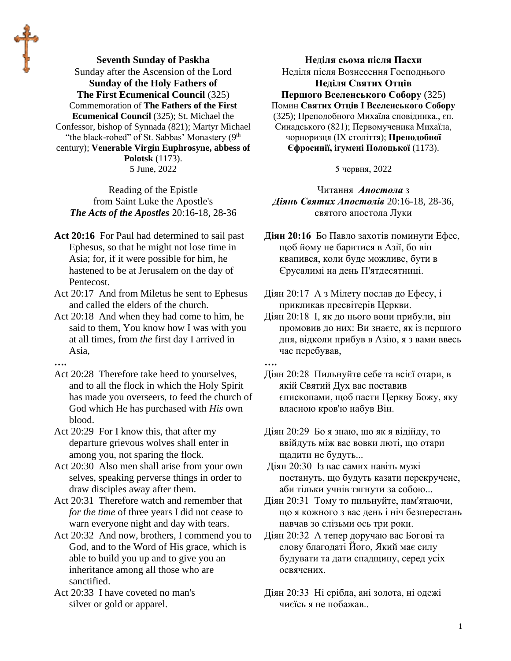**Seventh Sunday of Paskha** Sunday after the Ascension of the Lord **Sunday of the Holy Fathers of The First Ecumenical Council** (325) Commemoration of **The Fathers of the First Ecumenical Council** (325); St. Michael the Confessor, bishop of Synnada (821); Martyr Michael "the black-robed" of St. Sabbas' Monastery (9th century); **Venerable Virgin Euphrosyne, abbess of Polotsk** (1173). 5 June, 2022

Reading of the Epistle from Saint Luke the Apostle's *The Acts of the Apostles* 20:16-18, 28-36

- **Act 20:16** For Paul had determined to sail past Ephesus, so that he might not lose time in Asia; for, if it were possible for him, he hastened to be at Jerusalem on the day of Pentecost.
- Act 20:17 And from Miletus he sent to Ephesus and called the elders of the church.
- Act 20:18 And when they had come to him, he said to them, You know how I was with you at all times, from *the* first day I arrived in Asia,
- **….**
- Act 20:28 Therefore take heed to yourselves, and to all the flock in which the Holy Spirit has made you overseers, to feed the church of God which He has purchased with *His* own blood.

Act 20:29 For I know this, that after my departure grievous wolves shall enter in among you, not sparing the flock.

Act 20:30 Also men shall arise from your own selves, speaking perverse things in order to draw disciples away after them.

Act 20:31 Therefore watch and remember that *for the time* of three years I did not cease to warn everyone night and day with tears.

Act 20:32 And now, brothers, I commend you to God, and to the Word of His grace, which is able to build you up and to give you an inheritance among all those who are sanctified.

Act 20:33 I have coveted no man's silver or gold or apparel.

**Неділя сьома після Пасхи** Неділя після Вознесення Господнього **Неділя Святих Отців Першого Вселенського Собору** (325) Помин **Святих Отців І Вселенського Собору**  (325); Преподобного Михаїла сповідника., єп. Синадського (821); Первомученика Михаїла, чорноризця (IX століття); **Преподобної Єфросинії, ігумені Полоцької** (1173).

5 червня, 2022

Читання *Апостола* з *Діянь Святих Апостолів* 20:16-18, 28-36, святого апостола Луки

**Діян 20:16** Бо Павло захотів поминути Ефес, щоб йому не баритися в Азії, бо він квапився, коли буде можливе, бути в Єрусалимі на день П'ятдесятниці.

Діян 20:17 А з Мілету послав до Ефесу, і прикликав пресвітерів Церкви.

Діян 20:18 І, як до нього вони прибули, він промовив до них: Ви знаєте, як із першого дня, відколи прибув в Азію, я з вами ввесь час перебував,

Діян 20:28 Пильнуйте себе та всієї отари, в якій Святий Дух вас поставив єпископами, щоб пасти Церкву Божу, яку власною кров'ю набув Він.

Діян 20:29 Бо я знаю, що як я відійду, то ввійдуть між вас вовки люті, що отари щадити не будуть...

Діян 20:30 Із вас самих навіть мужі постануть, що будуть казати перекручене, аби тільки учнів тягнути за собою...

Діян 20:31 Тому то пильнуйте, пам'ятаючи, що я кожного з вас день і ніч безперестань навчав зо слізьми ось три роки.

Діян 20:32 А тепер доручаю вас Богові та слову благодаті Його, Який має силу будувати та дати спадщину, серед усіх освячених.

Діян 20:33 Ні срібла, ані золота, ні одежі чиєїсь я не побажав..

**<sup>….</sup>**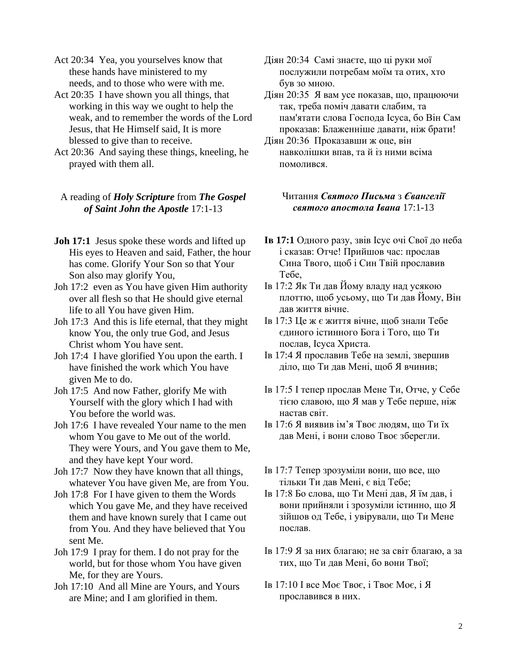Act 20:34 Yea, you yourselves know that these hands have ministered to my needs, and to those who were with me.

- Act 20:35 I have shown you all things, that working in this way we ought to help the weak, and to remember the words of the Lord Jesus, that He Himself said, It is more blessed to give than to receive.
- Act 20:36 And saying these things, kneeling, he prayed with them all.

## A reading of *Holy Scripture* from *The Gospel of Saint John the Apostle* 17:1-13

- **Joh 17:1** Jesus spoke these words and lifted up His eyes to Heaven and said, Father, the hour has come. Glorify Your Son so that Your Son also may glorify You,
- Joh 17:2 even as You have given Him authority over all flesh so that He should give eternal life to all You have given Him.
- Joh 17:3 And this is life eternal, that they might know You, the only true God, and Jesus Christ whom You have sent.
- Joh 17:4 I have glorified You upon the earth. I have finished the work which You have given Me to do.
- Joh 17:5 And now Father, glorify Me with Yourself with the glory which I had with You before the world was.
- Joh 17:6 I have revealed Your name to the men whom You gave to Me out of the world. They were Yours, and You gave them to Me, and they have kept Your word.
- Joh 17:7 Now they have known that all things, whatever You have given Me, are from You.
- Joh 17:8 For I have given to them the Words which You gave Me, and they have received them and have known surely that I came out from You. And they have believed that You sent Me.
- Joh 17:9 I pray for them. I do not pray for the world, but for those whom You have given Me, for they are Yours.
- Joh 17:10 And all Mine are Yours, and Yours are Mine; and I am glorified in them.
- Діян 20:34 Самі знаєте, що ці руки мої послужили потребам моїм та отих, хто був зо мною.
- Діян 20:35 Я вам усе показав, що, працюючи так, треба поміч давати слабим, та пам'ятати слова Господа Ісуса, бо Він Сам проказав: Блаженніше давати, ніж брати!
- Діян 20:36 Проказавши ж оце, він навколішки впав, та й із ними всіма помолився.

## Читання *Святого Письма* з *Євангелії святого апостола Івана* 17:1-13

- **Ів 17:1** Одного разу, звів Ісус очі Свої до неба і сказав: Отче! Прийшов час: прослав Сина Твого, щоб і Син Твій прославив Тебе,
- Ів 17:2 Як Ти дав Йому владу над усякою плоттю, щоб усьому, що Ти дав Йому, Він дав життя вічне.
- Ів 17:3 Це ж є життя вічне, щоб знали Тебе єдиного істинного Бога і Того, що Ти послав, Ісуса Христа.
- Ів 17:4 Я прославив Тебе на землі, звершив діло, що Ти дав Мені, щоб Я вчинив;
- Ів 17:5 І тепер прослав Мене Ти, Отче, у Себе тією славою, що Я мав у Тебе перше, ніж настав світ.
- Ів 17:6 Я виявив ім'я Твоє людям, що Ти їх дав Мені, і вони слово Твоє зберегли.
- Ів 17:7 Тепер зрозуміли вони, що все, що тільки Ти дав Мені, є від Тебе;
- Ів 17:8 Бо слова, що Ти Мені дав, Я їм дав, і вони прийняли і зрозуміли істинно, що Я зійшов од Тебе, і увірували, що Ти Мене послав.
- Ів 17:9 Я за них благаю; не за світ благаю, а за тих, що Ти дав Мені, бо вони Твої;
- Ів 17:10 І все Моє Твоє, і Твоє Моє, і Я прославився в них.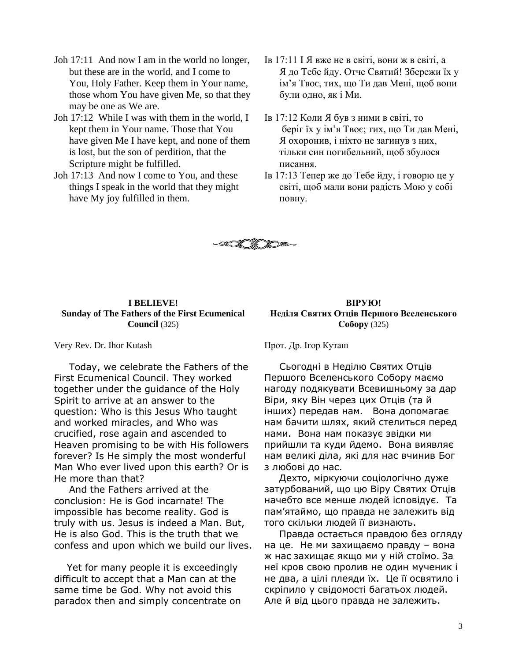- Joh 17:11 And now I am in the world no longer, but these are in the world, and I come to You, Holy Father. Keep them in Your name, those whom You have given Me, so that they may be one as We are.
- Joh 17:12 While I was with them in the world, I kept them in Your name. Those that You have given Me I have kept, and none of them is lost, but the son of perdition, that the Scripture might be fulfilled.
- Joh 17:13 And now I come to You, and these things I speak in the world that they might have My joy fulfilled in them.
- Ів 17:11 І Я вже не в світі, вони ж в світі, а Я до Тебе йду. Отче Святий! Збережи їх у ім'я Твоє, тих, що Ти дав Мені, щоб вони були одно, як і Ми.
- Ів 17:12 Коли Я був з ними в світі, то беріг їх у ім'я Твоє; тих, що Ти дав Мені, Я охоронив, і ніхто не загинув з них, тільки син погибельний, щоб збулося писання.
- Ів 17:13 Тепер же до Тебе йду, і говорю це у світі, щоб мали вони радість Мою у собі повну.



## **I BELIEVE! Sunday of The Fathers of the First Ecumenical Council** (325)

Very Rev. Dr. Ihor Kutash

Today, we celebrate the Fathers of the First Ecumenical Council. They worked together under the guidance of the Holy Spirit to arrive at an answer to the question: Who is this Jesus Who taught and worked miracles, and Who was crucified, rose again and ascended to Heaven promising to be with His followers forever? Is He simply the most wonderful Man Who ever lived upon this earth? Or is He more than that?

And the Fathers arrived at the conclusion: He is God incarnate! The impossible has become reality. God is truly with us. Jesus is indeed a Man. But, He is also God. This is the truth that we confess and upon which we build our lives.

 Yet for many people it is exceedingly difficult to accept that a Man can at the same time be God. Why not avoid this paradox then and simply concentrate on

**ВІРУЮ! Неділя Святих Отців Першого Вселенського Собору** (325)

Прот. Др. Ігор Куташ

Сьогодні в Неділю Святих Отців Першого Вселенського Собору маємо нагоду подякувати Всевишньому за дар Віри, яку Він через цих Отців (та й інших) передав нам. Вона допомагає нам бачити шлях, який стелиться перед нами. Вона нам показує звідки ми прийшли та куди йдемо. Вона виявляє нам великі діла, які для нас вчинив Бог з любові до нас.

Дехто, міркуючи соціологічно дуже затурбований, що цю Віру Святих Отців начебто все менше людей ісповідує. Та пам'ятаймо, що правда не залежить від того скільки людей її визнають.

Правда остається правдою без огляду на це. Не ми захищаємо правду – вона ж нас захищає якщо ми у ній стоїмо. За неї кров свою пролив не один мученик і не два, а цілі плеяди їх. Це її освятило і скріпило у свідомості багатьох людей. Але й від цього правда не залежить.